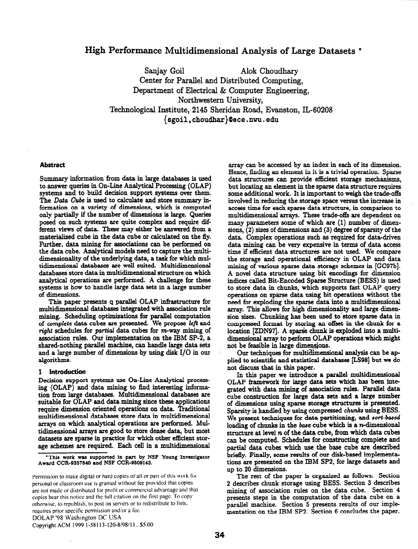# High Performance Multidimensional Analysis of Large Datasets \*

Sanjay Goil Alok Choudhary Center for Parallel and Distributed Computing, Department of Electrical & Computer Engineering, Northwestern University, Technological Institute, 2145 Sheridan Road, Evanston, IL-60208 {sgoil,choudhsr}Qece.nwu.edu

### Abstract

Summary information from data in large databases is used to answer queries in On-Line Analytical Processing (OLAP) systems and to build decision support systems over them. The Data Cube is used to calculate and store summary information on a variety of dimensions, which is computed only partially if the number of dimensions is large. Queries posed on such systems are quite complex and require different views of data. These may either be answered from a materialized cube in the data cube or calculated on the fly. Further, data mining for associations can be performed on the data cube. Analytical models need to capture the multidimensionality of the underlying data, a task for which multidimensional databases are well suited. Multidimensional databases store data in multidimensional structure on which analytical operations are performed. A challenge for these systems is how to handle large data sets in a large number of dimensions.

This paper presents q parallel OLAP infrastructure for multidimensional databases integrated with association rule mining. Scheduling optimisations for parallel computation of complete data cubes are presented. We propose left and right schedules for partial data cubes for m-way mining of association rules. Our implementation on the IBM SP-2, a shared-nothing parallel machine, cau handle large data sets and a large number of dimensions by using disk I/O in our algorithms.

#### 1 Introduction

Decision support systems use On-Line Analytical processing (OLAP) and data mining to find interesting information from large databases. Multidimensional databases are suitable for OLAP and data mining since these applications require dimension oriented operations on data. Traditional multidimensional databases store data in multidimensional arrays on which analytical operations are performed. Multidimensional arrays are good to store dense data, but most datasets are sparse in practice for which other efficient storage schemes are required. Each cell in a multidimensional

Copyright ACM 1999 l-581 13-120-8/98/l 1...\$5.00

array can be accessed by an index in each of its dimension. Hence, finding an element in it is a trivial operation. Sparse data structures can provide efficient storage mechauisms, but locating au element in the sparse data structure requires some additional work. It is important to weigh the trade-offs involved in reducing the storage space versus the increase in access time for each sparse data structure, in comparison to multidimensional arrays. These trade-offs are dependent on many parameters some of which are (1) number of dimensions,  $(2)$  sizes of dimensions and  $(3)$  degree of sparsity of the data. Complex operations such as required for data-driven data mining can be very expensive in terms of data access time if efficient data structures are not used. We compare the storage aud operational efficiency in OLAP and data mining of various sparse data storage schemes in [GC97b]. A novel data structure using bit encodings for dimension indices called Bit-Encoded Sparse Structure (BESS) is used to store data in chunks, which supports fast OLAP query operations on sparse data using bit operations without the need for exploding the sparse data into a multidimensional array. This allows for high dimensionality and large dimension sires. Chunking has been used to store sparse data in compressed format by storing an offset in the chunk for a location [ZDN97]. A sparse chunk is exploded into a multidimensional array to perform OLAP operations which might not be feasible in large dimensions.

Our techniques for multidimensional analysis can be ap plied to scientific and statistical databases [LS98] but we do not discuss that in this paper.

In this paper we introduce a parallel multidimensional OLAP framework for large data sets which has been integrated with data mining of association rules. Parallel data cube construction for large data sets and a large number of dimensions using sparse storage structures is presented. Sparsity is handled by using compressed chunks using BESS. We present techniques for data partitioning, and sort-based loading of chunks in the base cube which is a n-dimensional structure at level  $n$  of the data cube, from which data cubes can be computed. Schedules for constructing complete and partial data cubes which use the base cube are described briefly. Finally, some results of our disk-based implementations are presented on the IBM SP2, for large datasets and up to 20 dimensions.

The rest of the paper is organized as follows. Section 2 describes chunk storage using BESS. Section 3 describes mining of association rules on the data cube. Section 4 presents steps in the computation of the data cube on a parallel machine. Section 5 presents results of Our implementation on the IBM SP2. Section 6 concludes the paper.

<sup>&#</sup>x27;This work was supported in part by NSF Young Investigator Award CCR-9357840 and NSF CCR-9509143.

Permission to make digital or hard copies of all or part of this work for personal or classroom use is granted without fee provided that copies are not made or distributed for profit or commercial advantage and that copies bear this notice and the full citation on the first page. To copy otherwise. to republish. to post on servers or to redistribute to lists. requires prior specific permission and/or a fee. DOLAP '08 Washington DC USA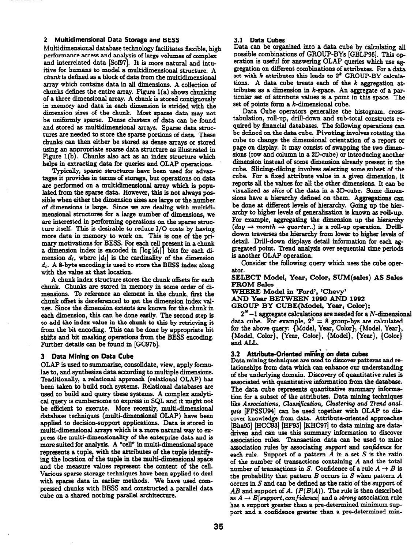## 2 Multidimensional Data Storage and BESS

Multidimensional database technology facilitates fiexible, high performance access and analysis of large volumes of complex and interrelated data [Sof97]. It is more natural and intuitive for humans to model a multidimensional structure. A  $chunk$  is defined as a block of data from the multidimensional array which contains data in all dimensions. A collection of chunks defines the entire array. Figure  $1(a)$  shows chunking of a three dimensional array. A chunk is stored contiguously in memory and data in each dimension is strided with the dimension sizes of the chunk. Most sparse data may not be uniformly sparse. Dense clusters of data cau be found and stored as multidimensional arrays. Sparse data structures are needed to store the sparse portions of data. These chunks can then either be stored ss dense arrays or stored using an appropriate sparse data structure as illustrated in Figure 1(b). Chunks also act as an index structure which helps in extracting data for queries and OLAP operations.

Typically, sparse structures have been used for advantages it provides in terms of storage, but operations on data are performed on a multidimensional array which is populated from the sparse data. However, this is not always possible when either the dimension sizes are large or the number of dimensions is large. Since we are dealing with multidimensional structures for a large number of dimensions, we are interested in performing operations on the sparse structure itself. This is desirable to reduce I/O costs by having more data in memory to work on. This is one of the primary motivations for BESS. For each cell present in a chunk a dimension index is encoded in  $\lceil \log |d_i| \rceil$  bits for each dimension  $d_i$ , where  $|d_i|$  is the cardinality of the dimension  $d_i$ . A 8-byte encoding is used to store the BESS index along with the value at that location.

A chunk index structure stores the chunk offsets for each chunk. Chunks are stored in memory in some order of dimensions. To reference an element in the chunk, first the chunk offset is dereferenced to get the dimension index values. Since the dimension extents are known for the chunk in each dimension, this can be done easily. The second step is to add the index value in the chunk to this by retrieving it from the bit encoding. This can be done by appropriate bit shifts and bit masking operations from the BESS encoding. Further details can be found in [GC97b].

# 3 Data Mining on Data Cube

OLAP is used to summarize, consolidate, view, apply formulae to, and synthesize data according to multiple dimensions. Traditionally, a relational approach (relational OLAP) has been taken to build such systems. Relational databases are used to build and query these systems. A complex analytical query is cumbersome to express in SQL and it might not be efficient to execute. More recently, multi-dimensional database techniques (multi-dimensional OLAP) have been applied to decision-support applications. Data is stored in multi-dimensional errays which is a more natural way to express the multi-dimensionality of the enterprise data and is more suited for analysis. A 'cell" in multi-dimensional space represents a tuple, with the attributes of the tuple identifying the location of the tuple in the multi-dimensional space and the measure values represent the content of the cell. Various sparse storage techniques have been applied to deal with sparse data in earlier methods. We have used compressed chunks with BESS and constructed a parallel data cube on a shared nothing parallel architecture.

#### 3.1 Data Cubes

Data can be organized into a data cube by calculating all possible combinations of GROUP-BYs [GBLP96]. This operation is useful for answering OLAP queries which use aggregation on different combinations of attributes. For a data set with  $k$  attributes this leads to  $2^k$  GROUP-BY calculations. A data cube treats each of the  $k$  aggregation attributes as a dimension in k-space. An aggregate of a particular set of attribute values is a point in this space. The set of points form a k-dimensional cube.

Data Cube operators generalize the histogram, crosstabulation, roll-up, drill-down and sub-total constructs required by financial databases. The following operations can be defined on the data cube. Pivoting involves rotating the cube to change the dimensional orientation of a report or page on display. It may consist of swapping the two dimensions (row and column in a 2D-cube) or introducing another dimension instead of some dimension already present in the cube. Slicing-dicing involves selecting some subset of the cube. For a fixed attribute value in a given dimension, it reports all the values for all the other dimensions. It can be visualized as slice of the data in a 3D-cube. Some dimensions have a hierarchy defined on them. Aggregations can be done at different levels of hierarchy. Going up the hierarchy to higher levels of generalization is known as roll-up. For example, aggregating the dimension up the hierarchy  $(day \rightarrow month \rightarrow quarter.)$  is a roll-up operation. Drilldown traverses the hierarchy from lower to higher levels of detail. Drill-down displays detail information for each aggregated point. Trend analysis over sequential time periods is another OLAP operation.

Consider the following query which uses the cube operator.

# SELECT Model, Year, Color, SUM(sales) AS Sales FROM Sales

WHERE Model in 'Ford', 'Chevy'

AND Year BETWEEN 1990 AND 1992 GROUP BY CUBE(Mode1, Year, Color);

 $2^N-1$  aggregate calculations are needed for a N-dimensional data cube. For example,  $2^3 = 8$  group-bys are calculated for the above query: {Model, Year, Color}; {Model, Year}, (Model, Color}, {Year, Color}, (Model}, {Year}, {Color} and ALL.

# 3.2 Attribute-Oriented mining on data cubes

Data mining techniques are used to discover patterns and relationships from data which can enhance our understanding of the underlying domain. Discovery of quantitative rules is associated with quantitative information from the database. The data cube represents quantitative summary information for a subset of the attributes. Data mining techniques like Associations, Classification, Clustering and Trend analysis FPSSU94] can be used together with OLAP to discover knowledge from data. Attribute-oriented approaches [Bha95] [HCC93] [HF95] [KHC97] to data mining are datadriven and can use this summary information to discover association rules. Transaction data can be used to mine association rules by associating support and confidence for each rule. Support of a pattern  $A$  in a set  $S$  is the ratio of the number of transactions containing A and the total number of transactions in S. Confidence of a rule  $A \rightarrow B$  is the probability that pattern  $B$  occurs in  $S$  when pattern  $A$ occurs in S and can be defined as the ratio of the support of  $AB$  and support of A.  $(P(B|A))$ . The rule is then described as  $A \rightarrow B$ [support, confidence] and a strong association rule has a support greater than a pre-determined minimum support and a confidence greater than a pre-determined min-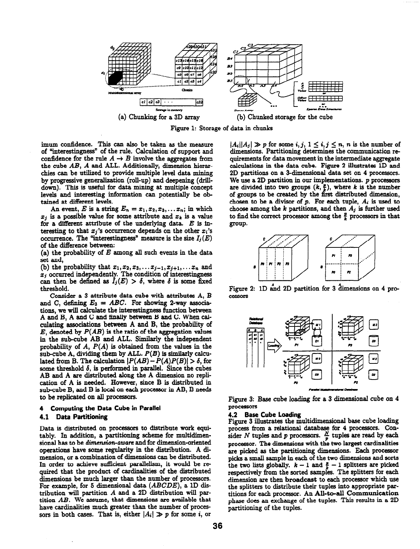

Figure 1: Storage of data in chunks

imum confidence. This can also be taken as the measure of "interestingness" of the rule. Calculation of support and confidence for the rule  $A \rightarrow B$  involve the aggregates from the cube AB, A and ALL. Additionally, dimension hierarchies can be utilized to provide multiple level data mining by progressive generalization (roll-up) and deepening (drilldown). This is useful for data mining at multiple concept levels and interesting information can potentially be obtained at different levels.

An event, E is a string  $E_n = x_1, x_2, x_3, \ldots x_n$ ; in which  $x_i$  is a possible value for some attribute and  $x_k$  is a value for a different attribute of the underlying data.  $E$  is interesting to that  $x_i$ 's occurrence depends on the other  $x_i$ 's occurrence. The "interestingness" measure is the size  $I_i(E)$ of the difference between:

(a) the probability of  $E$  among all such events in the data set and,

(b) the probability that  $x_1, x_2, x_3, \ldots x_{j-1}, x_{j+1}, \ldots x_n$  and  $x_i$  occurred independently. The condition of interestingness can then be defined as  $I_j(E) > \delta$ , where  $\delta$  is some fixed threshold.

Consider a 3 attribute data cube with attributes A, B and C, defining  $E_3 = ABC$ . For showing 2-way associations, we will calculate the interestingness function between A and B, A and C and finally between B and C. When calculating associations between A and B, the probability of  $E$ , denoted by  $P(AB)$  is the ratio of the aggregation values in the sub-cube AB and ALL. Similarly the independent probability of  $A$ ,  $P(A)$  is obtained from the values in the sub-cube A, dividing them by ALL.  $P(B)$  is similarly calculated from B. The calculation  $|P(AB) - P(A)P(B)| > \delta$ , for some threshold  $\delta$ , is performed in parallel. Since the cubes AB and A are distributed along the A dimension no replication of A is needed. However, since B is distributed in sub-cube B, and B is local on each processor in AB, B needs to be replicated on all processors.

#### 4 Computing the Data Cube in Parallel

# 4.1 Data Partitioning

Data is distributed on processors to distribute work equitably. In addition, a partitioning scheme for multidimensional has to be dimension-awaw and for dimension-oriented operations have some regularity in the distribution. A dimension, or a combination of dimensions can be distributed. In order to achieve sufficient parallelism, it would be required that the product of cardinalities of the distributed dimensions be much larger than the number of processors. For example, for 5 dimensional data (ABCDE), a 1D distribution will partition A and a 2D distribution will partition AB. We assume, that dimensions are available that have cardinalities much greater than the number of processors in both cases. That is, either  $|A_i| \gg p$  for some i, or

 $|A_i||A_j| \gg p$  for some i, j,  $1 \le i, j \le n$ , n is the number of dimensions. Partitioning determines the communication requirements for data movement in the intermediate aggregate calculations in the data cube. Figure 2 illustrates 1D and 2D partitions on a 3-dimensional data set on 4 processors. We use a 2D partition in our implementations. p processors are divided into two groups  $(k, \frac{p}{k})$ , where k is the number of groups to be created by the first distributed dimension, chosen to be a divisor of  $p$ . For each tuple,  $A_i$  is used to choose among the  $k$  partitions, and then  $A_j$  is further used to find the correct processor among the  $\frac{p}{k}$  processors in that group.



Figure 2: 1D and 2D partition for 3 dimensions on 4 pro-Cessors



Figure 3: Base cube loading for a 3 dimensional cube on 4 processors

# 4.2 Base Cube Loading

Figure 3 illustrates the multidimensional base cube loading process from a relational database for 4 processors. Consider N tuples and p processors.  $\frac{\pi}{6}$  tuples are read by each processor. The dimensions with the two largest cardinalities are picked as the partitioning dimensions. Each processor picks a small sample in each of the two dimensions and sorts the two lists globally.  $k-1$  and  $\frac{p}{k}-1$  splitters are picked respectively from the sorted samples. The splitters for each dimension are then broadcast to each processor which use the splitters to distribute their tuples into appropriate partitions for each processor. An All-to-all Communication phase does an exchange of the tuples. This results in a 2D partitioning of the tuples.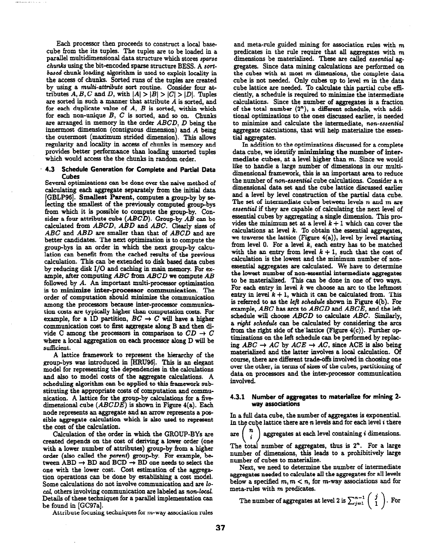Each processor then proceeds to construct a local basecube from the its tuples. The tuples are to be loaded in a parallel multidimensional data structure which stores sparse chunks using the bit-encoded sparse structure BESS. A sortbased chunk loading algorithm is used to exploit locality in the access of chunks. Sorted runs of the tuples are created by using a multi-attribute sort routine. Consider four attributes  $A, B, C$  and  $D$ , with  $|A| > |B| > |C| > |D|$ . Tuples are sorted in such a manner that attribute A is sorted, and for each duplicate value of A, B is sorted, within which for each non-unique  $B$ ,  $C$  is sorted, and so on. Chunks are arranged in memory in the order ABCD, D being the innermost dimension (contiguous dimension) and A being the outermost (maximum strided dimension). This allows regularity and locality in access of chunks in memory and provides better performance than loading unsorted tuples which would access the the chunks in random order.

# 4.3 Schedule Generation for Complete and Partial Data Cubes

Several optimiaations can be done over the naive method of calculating each aggregate separately from the initial data [GBLP96]. Smallest Parent, computes a group-by by selecting the smallest of the previously computed group-bys from which it is possible to compute the group-by. Consider a four attribute cube (ABCD). Group-by AB can be calculated from ABCD, ABD and ABC. Clearly sizes of ABC and ABD are smaller than that of ABCD and are better candidates. The next optimization is to compute the group-bys in an order in which the next group-by calculation can benefit from the cached results of the previous calculation. This can be extended to disk based data cubes by reducing disk I/O and caching in main memory. For example, after computing ABC from ABCD we compute AB followed by  $A$ . An important multi-processor optimization is to minimize inter-processor communication. The order of computation should minimise the communication among the processors because inter-processor communication costs are typically higher than computation costs. For example, for a 1D partition,  $BC \rightarrow C$  will have a higher communication cost to first aggregate along B and then divide C among the processors in comparison to  $CD \rightarrow C$ where a local aggregation on each processor along D will be sufficient.

A lattice framework to represent the hierarchy of the group-bys was introduced in [HRU96]. This is an elegant model for representing the dependencies in the calculations and also to model costs of the aggregate calculations. A scheduling algorithm can be applied to this framework substituting the appropriate costs of computation and communication. A lattice for the group-by calculations for a fivedimensional cube  $(ABCDE)$  is shown in Figure 4(a). Each node represents an aggregate and an arrow represents a possible aggregate calculation which is also used to represent the cost of the calculation.

Calculation of the order in which the GROUP-BYs are created depends on the cost of deriving a lower order (one with a lower number of attributes) group-by from a higher order (also called the parent) group-by. For example, between ABD  $\rightarrow$  BD and BCD  $\rightarrow$  BD one needs to select the one with the lower cost. Cost estimation of the aggregation operations can be done by establishing a cost model. Some calculations do not involve communication and are lo cal, others involving communication are labeled as non-local. Details of these techniques for a parallel implementation can be found in [GC97a].

Attribute focusing techniques for m-way association rules

and meta-rule guided mining for association rules with  $m$ predicates in the rule require that all aggregates with m dimensions be materialized. These are called essential aggregates. Since data mining calculations are performed on the cubes with at most  $m$  dimensions, the complete data cube is not needed. Only cubes up to level  $m$  in the data cube lattice are needed. To calculate this partial cube efficiently, a schedule is required to minimize the intermediate calculations. Since the number of aggregates is a fraction of the total number  $(2^n)$ , a different schedule, with additional optimizations to the ones discussed earlier, is needed to minimize and calculate the intermediate, non-essential aggregate calculations, that will help materialize the essential aggregates.

In addition to the optimisations discussed for a complete data cube, we identify minimizing the number of intermediate cubes, at a level higher than  $m$ . Since we would like to handle a large number of dimensions in our multidimensional framework, this is an important area to reduce the number of non-essential cube calculations. Consider a n dimensional data set and the cube lattice discussed earlier and a level by level construction of the partial data cube. The set of intermediate cubes between levels  $n$  and  $m$  are essential if they are capable of calculating the next level of essential cubes by aggregating a single dimension. This provides the minimum set at a level  $k + 1$  which can cover the calculations at level  $k$ . To obtain the essential aggregates, we traverse the lattice (Figure 4(a)), level by level starting from level 0. For a level  $k$ , each entry has to be matched with the an entry from level  $k + 1$ , such that the cost of calculation is the lowest and the minimum number of nonessential aggregates are calculated. We have to determine the lowest number of non-essential intermediate aggregates to be materialised. This can be done in one of two ways. For each entry in level  $k$  we choose an arc to the leftmost entry in level  $k + 1$ , which it can be calculated from. This is referred to as the *left schedule* shown in Figure  $4(b)$ . For example,  $ABC$  has arcs to  $ABCD$  and  $ABCE$ , and the left schedule will choose  $ABCD$  to calculate  $ABC$ . Similarly, a right schedule can be calculated by considering the arcs from the right side of the'lattice (Figure 4(c)). Further op timizations on the left schedule can be performed by replacing  $ABC \rightarrow AC$  by  $ACE \rightarrow AC$ , since ACE is also being materialized and the latter involves a local calculation. Of course, there are different trade-offs involved in choosing one over the other, in terms of sizes of the cubes, partitioning of data on processors and the inter-processor communication involved.

#### 4.3.1 Number of aggregates to materialize for mining 2 way associations

In a full data cube, the number of aggregates is exponential. In the cube lattice there are  $n$  levels and for each level  $i$  there

n are aggregates at each level containing i dimensions.

The total number of aggregates, thus is  $2<sup>n</sup>$ . For a large number of dimensions, this leads to a prohibitively large number of cubes to materialize.

Next, we need to determine the number of intermediate aggregates needed to calculate all the aggregates for all levels below a specified  $m, m < n$ , for m-way associations and for meta-rules with  $m$  predicates.

The number of aggregates at level 2 is  $\sum_{j=1}^{n-1} \begin{pmatrix} j \\ 1 \end{pmatrix}$ . For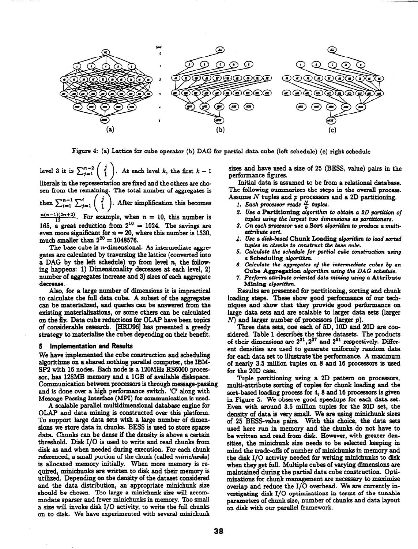

Figure 4: (a) Lattice for cube operator (b) DAG for partial data cube (left schedule) (c) right schedule

level 3 it is  $\sum_{j=1}^{n-2} \begin{pmatrix} j \\ 1 \end{pmatrix}$ . At each level k, the first  $k-1$ literals in the representation are fixed and the others are chosen from the remaining. The total number of aggregates is then  $\sum_{i=1}^{n-1} \sum_{j=1}^{i} \begin{pmatrix} j \\ 1 \end{pmatrix}$ . After simplification this becomes  $\frac{n(n-1)(2n+2)}{12}$ . For example, when  $n = 10$ , this number is

165, a great reduction from  $2^{10} = 1024$ . The savings are even more significant for  $n = 20$ , where this number is 1330, much smaller than  $2^{20} = 1048576$ .

The base cube is *n*-dimensional. As intermediate aggregates are calculated by traversing the lattice (converted into a DAG by the left schedule) up from level  $n$ , the following happens: 1) Dimensionality decreases at each level, 2) number of aggregates increase and 3) sizes of each aggregate decrease.

Also, for a large number of dimensions it is impractical to calculate the full data cube. A subset of the aggregates can be materialized, and queries can be auswered from the existing materializations, or some others can be calculated on the fly. Data cube reductions for OLAP have been topics of considerable research. [HRU96] has presented a greedy strategy to materialize the cubes depending on their benefit.

# Implementation and Results

We have implemented the cube construction and scheduling algorithms on a shared nothing parallel computer, the IBM-SP2 with 16 nodes. Each node is a 120MHz RS6000 processor, has 128MB memory and a 1GB of available diskspace. Communication between processors is through message-passing and is done over a high performance switch. 'C' along with Message Passing Interface (MPI) for communication is used.

A scalable parallel multidimensional database engine for OLAP and data mining is constructed over this platform. To support large data sets with a large number of dimensions we store data in chunks. BESS is used to store sparse data. Chunks can be dense if the density is above a certain threshold. Disk I/O is used to write and read chunks from disk as and when needed during execution. For each chunk referenced, a small portion of the chunk (called minichunks) is allocated memory initially. When more memory is required, minichunks are written to disk and their memory is utilized. Depending on the density of the dataset considered and the data distribution, an appropriate minichunk size should be chosen. Too large a minichunk size will accommodate sparser and fewer minichunks in memory. Too small a size will invoke disk I/O activity, to write the full chunks on to disk. We have experimented with several minichunk sizes and have used a size of 25 (BESS, value) pairs in the performance figures.

Initial data is assumed to be from a relational database. The following summarizes the steps in the overall process. Assume  $N$  tuples and  $p$  processors and a 2D partitioning.

- 1. Each processor reads  $\frac{N}{n}$  tuples.
- 2. Use a Partitioning algorithm to obtain a 2D partition of tuples using the largest two dimensions as partitioners.
- 3. On each processor use a Sort algorithm to produce a multiattribute sort.
- 4. Use a disk-based Chunk Loading algorithm to load sorted tuples in chunks to construct the base cube.
- 5. Calculate the schedule for partial cube construction using a Scheduling algorithm.
- 6. Calculate the aggregates of the intermediate cubes by an Cube Aggregation algorithm wing the DAG schedule.
- 7. Perform attribute oriented data mining using a Attribu Mining algorithm.

Results are presented for partitioning, sorting and chunk loading steps. These show good performance of our techniques and show that they provide good performance on large data sets and are scalable to larger data sets (larger  $N$ ) and larger number of processors (larger  $p$ ).

Three data sets, one each of 5D, 1OD and 20D are considered. Table 1 describes the three datasets. The products of their dimensions are  $2^{31}$ ,  $2^{37}$  and  $2^{51}$  respectively. Different densities are used to generate uniformly random data for each data set to illustrate the performance. A maximum of nearly 3.5 million tuples on 8 and 16 processors is used for the 20D case.

Tuple partitioning using a 2D pattern on processors, multi-attribute sorting of tuples for chunk loading and the sort-based loading process for 4,8 and 16 processors is given in Figure 5. We observe good speedups for each data set. Even with around 3.5 million tuples for the 20D set, the density of data is very small. We are using minichunk sizes of 25 BESS-value pairs. With this choice, the data sets used here run in memory and the chunks do not have to be written and read from disk. However, with greater densities, the minichunk size needs to be selected keeping in mind the trade-offs of number of minichunks in memory and the disk I/O activity needed for writing minichunks to disk when they get full. Multiple cubes of varying dimensions are maintained during the partial data cube construction. Optimizations for chunk management are necessary to maximize overlap and reduce the I/O overhead. We are currently investigating disk I/O optimizations in terms of the tunable parameters of chunk size, number of chunks and data layout on disk with our parallel framework.